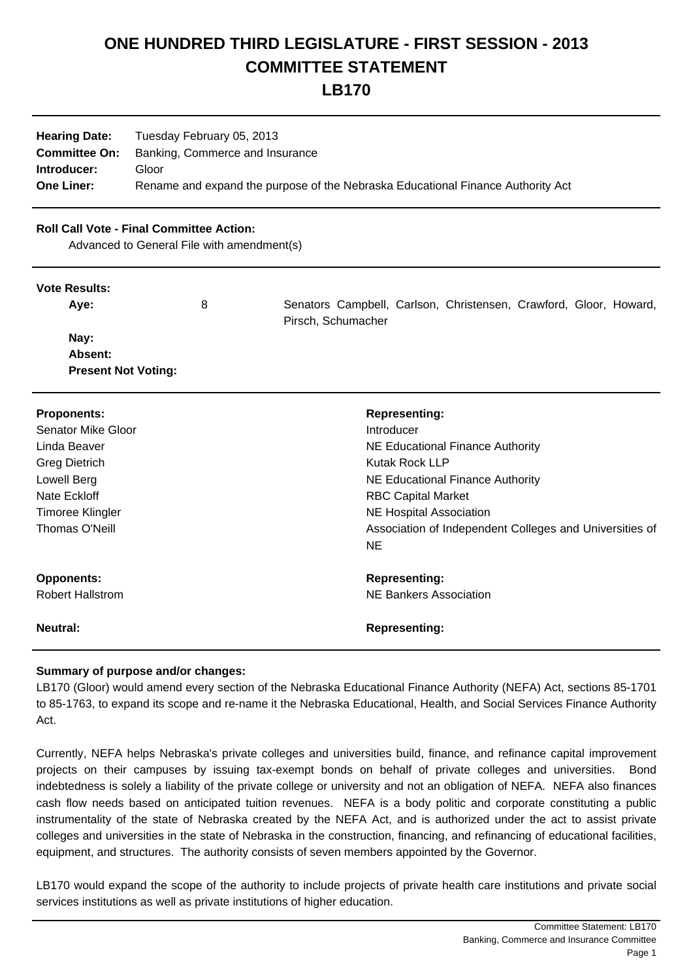# **ONE HUNDRED THIRD LEGISLATURE - FIRST SESSION - 2013 COMMITTEE STATEMENT**

**LB170**

| <b>Hearing Date:</b> | Tuesday February 05, 2013                                                       |
|----------------------|---------------------------------------------------------------------------------|
| <b>Committee On:</b> | Banking, Commerce and Insurance                                                 |
| Introducer:          | Gloor                                                                           |
| <b>One Liner:</b>    | Rename and expand the purpose of the Nebraska Educational Finance Authority Act |

### **Roll Call Vote - Final Committee Action:**

Advanced to General File with amendment(s)

#### **Vote Results:**

Aye: 8 8 Senators Campbell, Carlson, Christensen, Crawford, Gloor, Howard, Pirsch, Schumacher

 **Nay: Absent: Present Not Voting:**

| <b>Proponents:</b>      | <b>Representing:</b>                                    |
|-------------------------|---------------------------------------------------------|
| Senator Mike Gloor      | Introducer                                              |
| Linda Beaver            | NE Educational Finance Authority                        |
| <b>Greg Dietrich</b>    | <b>Kutak Rock LLP</b>                                   |
| Lowell Berg             | NE Educational Finance Authority                        |
| Nate Eckloff            | <b>RBC Capital Market</b>                               |
| <b>Timoree Klingler</b> | <b>NE Hospital Association</b>                          |
| Thomas O'Neill          | Association of Independent Colleges and Universities of |
|                         | <b>NE</b>                                               |
| <b>Opponents:</b>       | <b>Representing:</b>                                    |
| <b>Robert Hallstrom</b> | NE Bankers Association                                  |
| <b>Neutral:</b>         | <b>Representing:</b>                                    |

## **Summary of purpose and/or changes:**

LB170 (Gloor) would amend every section of the Nebraska Educational Finance Authority (NEFA) Act, sections 85-1701 to 85-1763, to expand its scope and re-name it the Nebraska Educational, Health, and Social Services Finance Authority Act.

Currently, NEFA helps Nebraska's private colleges and universities build, finance, and refinance capital improvement projects on their campuses by issuing tax-exempt bonds on behalf of private colleges and universities. Bond indebtedness is solely a liability of the private college or university and not an obligation of NEFA. NEFA also finances cash flow needs based on anticipated tuition revenues. NEFA is a body politic and corporate constituting a public instrumentality of the state of Nebraska created by the NEFA Act, and is authorized under the act to assist private colleges and universities in the state of Nebraska in the construction, financing, and refinancing of educational facilities, equipment, and structures. The authority consists of seven members appointed by the Governor.

LB170 would expand the scope of the authority to include projects of private health care institutions and private social services institutions as well as private institutions of higher education.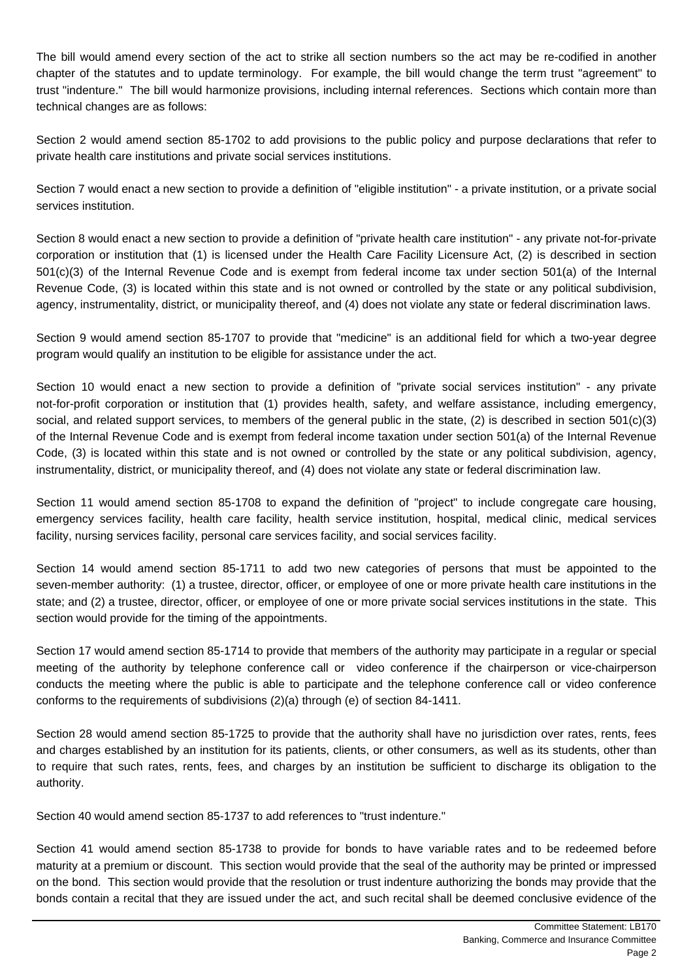The bill would amend every section of the act to strike all section numbers so the act may be re-codified in another chapter of the statutes and to update terminology. For example, the bill would change the term trust "agreement" to trust "indenture." The bill would harmonize provisions, including internal references. Sections which contain more than technical changes are as follows:

Section 2 would amend section 85-1702 to add provisions to the public policy and purpose declarations that refer to private health care institutions and private social services institutions.

Section 7 would enact a new section to provide a definition of "eligible institution" - a private institution, or a private social services institution.

Section 8 would enact a new section to provide a definition of "private health care institution" - any private not-for-private corporation or institution that (1) is licensed under the Health Care Facility Licensure Act, (2) is described in section 501(c)(3) of the Internal Revenue Code and is exempt from federal income tax under section 501(a) of the Internal Revenue Code, (3) is located within this state and is not owned or controlled by the state or any political subdivision, agency, instrumentality, district, or municipality thereof, and (4) does not violate any state or federal discrimination laws.

Section 9 would amend section 85-1707 to provide that "medicine" is an additional field for which a two-year degree program would qualify an institution to be eligible for assistance under the act.

Section 10 would enact a new section to provide a definition of "private social services institution" - any private not-for-profit corporation or institution that (1) provides health, safety, and welfare assistance, including emergency, social, and related support services, to members of the general public in the state, (2) is described in section 501(c)(3) of the Internal Revenue Code and is exempt from federal income taxation under section 501(a) of the Internal Revenue Code, (3) is located within this state and is not owned or controlled by the state or any political subdivision, agency, instrumentality, district, or municipality thereof, and (4) does not violate any state or federal discrimination law.

Section 11 would amend section 85-1708 to expand the definition of "project" to include congregate care housing, emergency services facility, health care facility, health service institution, hospital, medical clinic, medical services facility, nursing services facility, personal care services facility, and social services facility.

Section 14 would amend section 85-1711 to add two new categories of persons that must be appointed to the seven-member authority: (1) a trustee, director, officer, or employee of one or more private health care institutions in the state; and (2) a trustee, director, officer, or employee of one or more private social services institutions in the state. This section would provide for the timing of the appointments.

Section 17 would amend section 85-1714 to provide that members of the authority may participate in a regular or special meeting of the authority by telephone conference call or video conference if the chairperson or vice-chairperson conducts the meeting where the public is able to participate and the telephone conference call or video conference conforms to the requirements of subdivisions (2)(a) through (e) of section 84-1411.

Section 28 would amend section 85-1725 to provide that the authority shall have no jurisdiction over rates, rents, fees and charges established by an institution for its patients, clients, or other consumers, as well as its students, other than to require that such rates, rents, fees, and charges by an institution be sufficient to discharge its obligation to the authority.

Section 40 would amend section 85-1737 to add references to "trust indenture."

Section 41 would amend section 85-1738 to provide for bonds to have variable rates and to be redeemed before maturity at a premium or discount. This section would provide that the seal of the authority may be printed or impressed on the bond. This section would provide that the resolution or trust indenture authorizing the bonds may provide that the bonds contain a recital that they are issued under the act, and such recital shall be deemed conclusive evidence of the